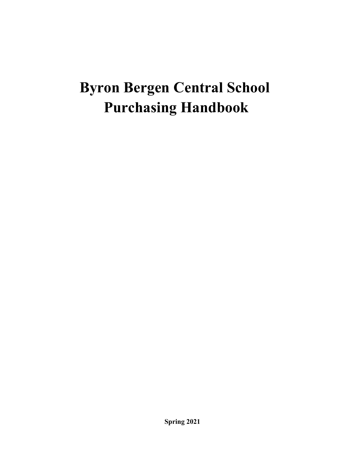# **Byron Bergen Central School Purchasing Handbook**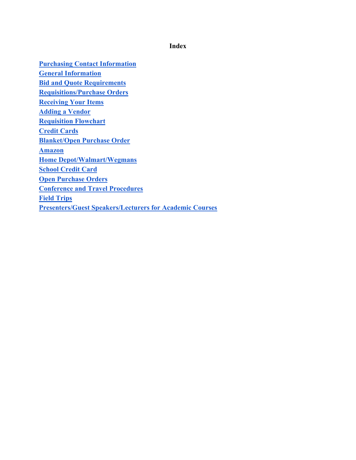**Index**

**Purchasing Contact Information General Information Bid and Quote Requirements Requisitions/Purchase Orders Receiving Your Items Adding a Vendor Requisition Flowchart Credit Cards Blanket/Open Purchase Order Amazon Home Depot/Walmart/Wegmans School Credit Card Open Purchase Orders Conference and Travel Procedures Field Trips Presenters/Guest Speakers/Lecturers for Academic Courses**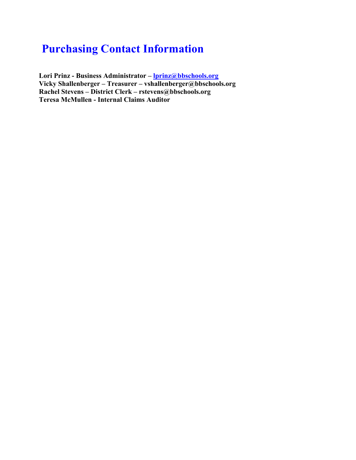## **Purchasing Contact Information**

**Lori Prinz - Business Administrator – [lprinz@bbschools.org](mailto:lprinz@bbschools.org) Vicky Shallenberger – Treasurer – vshallenberger@bbschools.org Rachel Stevens – District Clerk – rstevens@bbschools.org Teresa McMullen - Internal Claims Auditor**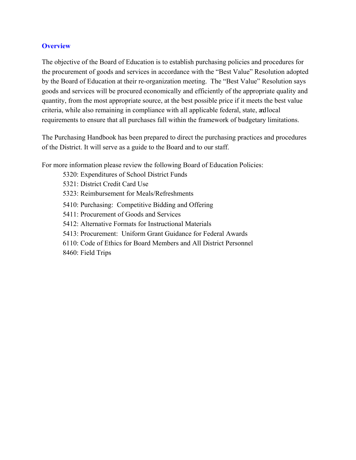#### **Overview**

The objective of the Board of Education is to establish purchasing policies and procedures for the procurement of goods and services in accordance with the "Best Value" Resolution adopted by the Board of Education at their re-organization meeting. The "Best Value" Resolution says goods and services will be procured economically and efficiently of the appropriate quality and quantity, from the most appropriate source, at the best possible price if it meets the best value criteria, while also remaining in compliance with all applicable federal, state, andlocal requirements to ensure that all purchases fall within the framework of budgetary limitations.

The Purchasing Handbook has been prepared to direct the purchasing practices and procedures of the District. It will serve as a guide to the Board and to our staff.

For more information please review the following Board of Education Policies:

5320: Expenditures of School District Funds 5321: District Credit Card Use 5323: Reimbursement for Meals/Refreshments 5410: Purchasing: Competitive Bidding and Offering 5411: Procurement of Goods and Services 5412: Alternative Formats for Instructional Materials 5413: Procurement: Uniform Grant Guidance for Federal Awards 6110: Code of Ethics for Board Members and All District Personnel 8460: Field Trips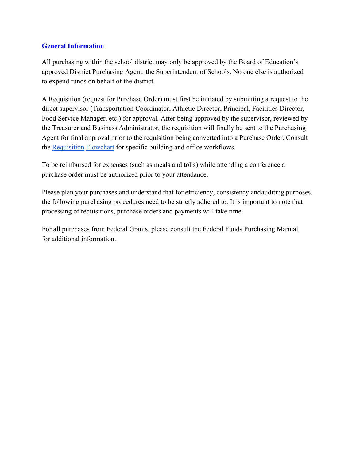#### **General Information**

All purchasing within the school district may only be approved by the Board of Education's approved District Purchasing Agent: the Superintendent of Schools. No one else is authorized to expend funds on behalf of the district.

A Requisition (request for Purchase Order) must first be initiated by submitting a request to the direct supervisor (Transportation Coordinator, Athletic Director, Principal, Facilities Director, Food Service Manager, etc.) for approval. After being approved by the supervisor, reviewed by the Treasurer and Business Administrator, the requisition will finally be sent to the Purchasing Agent for final approval prior to the requisition being converted into a Purchase Order. Consult the Requisition Flowchart for specific building and office workflows.

To be reimbursed for expenses (such as meals and tolls) while attending a conference a purchase order must be authorized prior to your attendance.

Please plan your purchases and understand that for efficiency, consistency andauditing purposes, the following purchasing procedures need to be strictly adhered to. It is important to note that processing of requisitions, purchase orders and payments will take time.

For all purchases from Federal Grants, please consult the Federal Funds Purchasing Manual for additional information.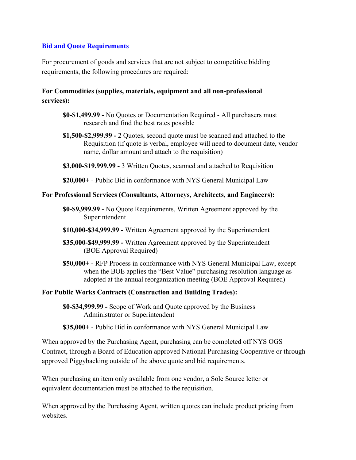#### **Bid and Quote Requirements**

For procurement of goods and services that are not subject to competitive bidding requirements, the following procedures are required:

#### **For Commodities (supplies, materials, equipment and all non-professional services):**

- **\$0-\$1,499.99 -** No Quotes or Documentation Required All purchasers must research and find the best rates possible
- **\$1,500-\$2,999.99 -** 2 Quotes, second quote must be scanned and attached to the Requisition (if quote is verbal, employee will need to document date, vendor name, dollar amount and attach to the requisition)
- **\$3,000-\$19,999.99 -** 3 Written Quotes, scanned and attached to Requisition
- **\$20,000+**  Public Bid in conformance with NYS General Municipal Law

#### **For Professional Services (Consultants, Attorneys, Architects, and Engineers):**

- **\$0-\$9,999.99 -** No Quote Requirements, Written Agreement approved by the Superintendent
- **\$10,000-\$34,999.99 -** Written Agreement approved by the Superintendent
- **\$35,000-\$49,999.99 -** Written Agreement approved by the Superintendent (BOE Approval Required)
- **\$50,000+ -** RFP Process in conformance with NYS General Municipal Law, except when the BOE applies the "Best Value" purchasing resolution language as adopted at the annual reorganization meeting (BOE Approval Required)

#### **For Public Works Contracts (Construction and Building Trades):**

**\$0-\$34,999.99 -** Scope of Work and Quote approved by the Business Administrator or Superintendent

**\$35,000+** - Public Bid in conformance with NYS General Municipal Law

When approved by the Purchasing Agent, purchasing can be completed off NYS OGS Contract, through a Board of Education approved National Purchasing Cooperative or through approved Piggybacking outside of the above quote and bid requirements.

When purchasing an item only available from one vendor, a Sole Source letter or equivalent documentation must be attached to the requisition.

When approved by the Purchasing Agent, written quotes can include product pricing from websites.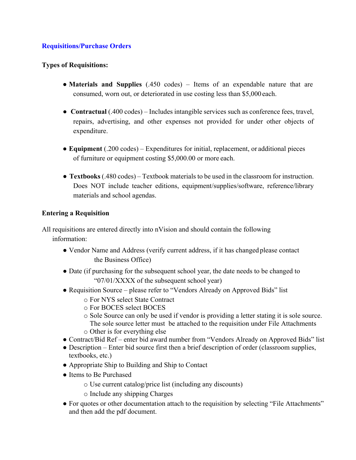#### **Requisitions/Purchase Orders**

#### **Types of Requisitions:**

- **Materials and Supplies** (.450 codes) Items of an expendable nature that are consumed, worn out, or deteriorated in use costing less than \$5,000 each.
- **Contractual** (.400 codes) Includes intangible services such as conference fees, travel, repairs, advertising, and other expenses not provided for under other objects of expenditure.
- **Equipment** (.200 codes) Expenditures for initial, replacement, or additional pieces of furniture or equipment costing \$5,000.00 or more each.
- **Textbooks** (.480 codes) Textbook materials to be used in the classroom for instruction. Does NOT include teacher editions, equipment/supplies/software, reference/library materials and school agendas.

#### **Entering a Requisition**

All requisitions are entered directly into nVision and should contain the following information:

- Vendor Name and Address (verify current address, if it has changed please contact the Business Office)
- Date (if purchasing for the subsequent school year, the date needs to be changed to "07/01/XXXX of the subsequent school year)
- Requisition Source please refer to "Vendors Already on Approved Bids" list
	- o For NYS select State Contract
	- o For BOCES select BOCES
	- o Sole Source can only be used if vendor is providing a letter stating it is sole source. The sole source letter must be attached to the requisition under File Attachments o Other is for everything else
- Contract/Bid Ref enter bid award number from "Vendors Already on Approved Bids" list
- Description Enter bid source first then a brief description of order (classroom supplies, textbooks, etc.)
- Appropriate Ship to Building and Ship to Contact
- Items to Be Purchased
	- o Use current catalog/price list (including any discounts)
	- o Include any shipping Charges
- For quotes or other documentation attach to the requisition by selecting "File Attachments" and then add the pdf document.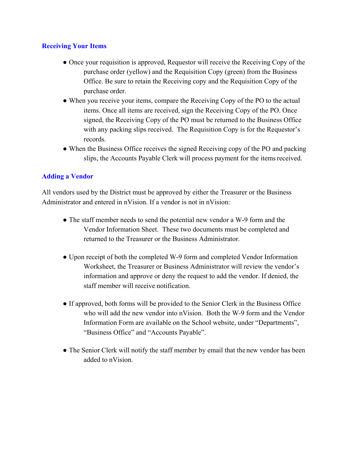#### **Receiving Your Items**

- Once your requisition is approved, Requestor will receive the Receiving Copy of the purchase order (yellow) and the Requisition Copy (green) from the Business Office. Be sure to retain the Receiving copy and the Requisition Copy of the purchase order.
- When you receive your items, compare the Receiving Copy of the PO to the actual items. Once all items are received, sign the Receiving Copy of the PO. Once signed, the Receiving Copy of the PO must be returned to the Business Office with any packing slips received. The Requisition Copy is for the Requestor's records.
- When the Business Office receives the signed Receiving copy of the PO and packing slips, the Accounts Payable Clerk will process payment for the items received.

#### **Adding a Vendor**

All vendors used by the District must be approved by either the Treasurer or the Business Administrator and entered in nVision. If a vendor is not in nVision:

- The staff member needs to send the potential new vendor a W-9 form and the Vendor Information Sheet. These two documents must be completed and returned to the Treasurer or the Business Administrator.
- Upon receipt of both the completed W-9 form and completed Vendor Information Worksheet, the Treasurer or Business Administrator will review the vendor's information and approve or deny the request to add the vendor. If denied, the staff member will receive notification.
- If approved, both forms will be provided to the Senior Clerk in the Business Office who will add the new vendor into nVision. Both the W-9 form and the Vendor Information Form are available on the School website, under "Departments", "Business Office" and "Accounts Payable".
- The Senior Clerk will notify the staff member by email that the new vendor has been added to nVision.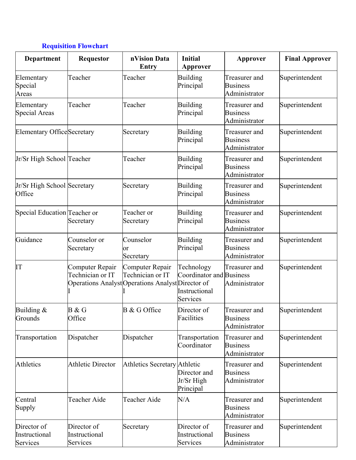### **Requisition Flowchart**

| <b>Department</b>                        | Requestor                                                                                | nVision Data<br>Entry               | <b>Initial</b><br>Approver                                          | Approver                                          | <b>Final Approver</b> |
|------------------------------------------|------------------------------------------------------------------------------------------|-------------------------------------|---------------------------------------------------------------------|---------------------------------------------------|-----------------------|
| Elementary<br>Special<br>Areas           | Teacher                                                                                  | Teacher                             | Building<br>Principal                                               | Treasurer and<br><b>Business</b><br>Administrator | Superintendent        |
| Elementary<br>Special Areas              | Teacher                                                                                  | Teacher                             | Building<br>Principal                                               | Treasurer and<br><b>Business</b><br>Administrator | Superintendent        |
| Elementary OfficeSecretary               |                                                                                          | Secretary                           | Building<br>Principal                                               | Treasurer and<br><b>Business</b><br>Administrator | Superintendent        |
| Jr/Sr High School Teacher                |                                                                                          | Teacher                             | Building<br>Principal                                               | Treasurer and<br><b>Business</b><br>Administrator | Superintendent        |
| Jr/Sr High School Secretary<br>Office    |                                                                                          | Secretary                           | Building<br>Principal                                               | Treasurer and<br><b>Business</b><br>Administrator | Superintendent        |
| Special Education Teacher or             | Secretary                                                                                | Teacher or<br>Secretary             | Building<br>Principal                                               | Treasurer and<br><b>Business</b><br>Administrator | Superintendent        |
| Guidance                                 | Counselor or<br>Secretary                                                                | Counselor<br>or<br>Secretary        | Building<br>Principal                                               | Treasurer and<br><b>Business</b><br>Administrator | Superintendent        |
| IT                                       | Computer Repair<br>Technician or IT<br>Operations Analyst Operations Analyst Director of | Computer Repair<br>Technician or IT | Technology<br>Coordinator and Business<br>Instructional<br>Services | Treasurer and<br>Administrator                    | Superintendent        |
| Building $&$<br>Grounds                  | B & G<br>Office                                                                          | B & G Office                        | Director of<br>Facilities                                           | Treasurer and<br><b>Business</b><br>Administrator | Superintendent        |
| Transportation                           | Dispatcher                                                                               | Dispatcher                          | Transportation<br>Coordinator                                       | Treasurer and<br><b>Business</b><br>Administrator | Superintendent        |
| Athletics                                | <b>Athletic Director</b>                                                                 | Athletics Secretary Athletic        | Director and<br>Jr/Sr High<br>Principal                             | Treasurer and<br><b>Business</b><br>Administrator | Superintendent        |
| Central<br>Supply                        | Teacher Aide                                                                             | Teacher Aide                        | N/A                                                                 | Treasurer and<br><b>Business</b><br>Administrator | Superintendent        |
| Director of<br>Instructional<br>Services | Director of<br>Instructional<br>Services                                                 | Secretary                           | Director of<br>Instructional<br>Services                            | Treasurer and<br><b>Business</b><br>Administrator | Superintendent        |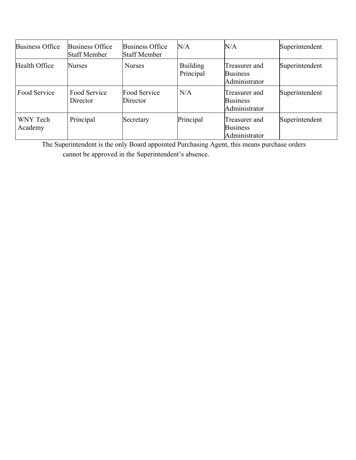| <b>Business Office</b> | Business Office<br><b>Staff Member</b> | <b>Business Office</b><br><b>Staff Member</b> | N/A                          | N/A                                               | Superintendent |
|------------------------|----------------------------------------|-----------------------------------------------|------------------------------|---------------------------------------------------|----------------|
| Health Office          | <b>Nurses</b>                          | <b>Nurses</b>                                 | <b>Building</b><br>Principal | Treasurer and<br><b>Business</b><br>Administrator | Superintendent |
| Food Service           | Food Service<br>Director               | Food Service<br>Director                      | N/A                          | Treasurer and<br><b>Business</b><br>Administrator | Superintendent |
| WNY Tech<br>Academy    | Principal                              | Secretary                                     | Principal                    | Treasurer and<br><b>Business</b><br>Administrator | Superintendent |

The Superintendent is the only Board appointed Purchasing Agent, this means purchase orders cannot be approved in the Superintendent's absence.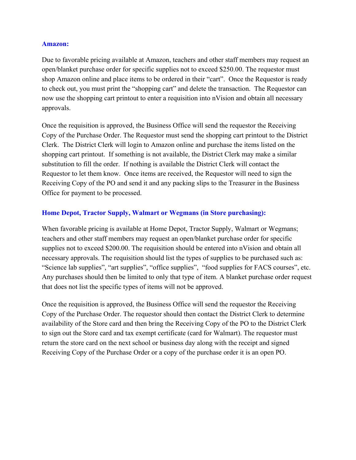#### **Amazon:**

Due to favorable pricing available at Amazon, teachers and other staff members may request an open/blanket purchase order for specific supplies not to exceed \$250.00. The requestor must shop Amazon online and place items to be ordered in their "cart". Once the Requestor is ready to check out, you must print the "shopping cart" and delete the transaction. The Requestor can now use the shopping cart printout to enter a requisition into nVision and obtain all necessary approvals.

Once the requisition is approved, the Business Office will send the requestor the Receiving Copy of the Purchase Order. The Requestor must send the shopping cart printout to the District Clerk. The District Clerk will login to Amazon online and purchase the items listed on the shopping cart printout. If something is not available, the District Clerk may make a similar substitution to fill the order. If nothing is available the District Clerk will contact the Requestor to let them know. Once items are received, the Requestor will need to sign the Receiving Copy of the PO and send it and any packing slips to the Treasurer in the Business Office for payment to be processed.

#### **Home Depot, Tractor Supply, Walmart or Wegmans (in Store purchasing):**

When favorable pricing is available at Home Depot, Tractor Supply, Walmart or Wegmans; teachers and other staff members may request an open/blanket purchase order for specific supplies not to exceed \$200.00. The requisition should be entered into nVision and obtain all necessary approvals. The requisition should list the types of supplies to be purchased such as: "Science lab supplies", "art supplies", "office supplies", "food supplies for FACS courses", etc. Any purchases should then be limited to only that type of item. A blanket purchase order request that does not list the specific types of items will not be approved.

Once the requisition is approved, the Business Office will send the requestor the Receiving Copy of the Purchase Order. The requestor should then contact the District Clerk to determine availability of the Store card and then bring the Receiving Copy of the PO to the District Clerk to sign out the Store card and tax exempt certificate (card for Walmart). The requestor must return the store card on the next school or business day along with the receipt and signed Receiving Copy of the Purchase Order or a copy of the purchase order it is an open PO.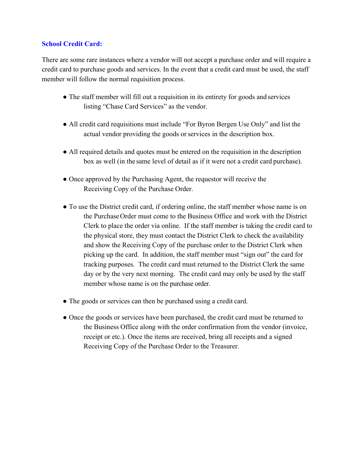#### **School Credit Card:**

There are some rare instances where a vendor will not accept a purchase order and will require a credit card to purchase goods and services. In the event that a credit card must be used, the staff member will follow the normal requisition process.

- The staff member will fill out a requisition in its entirety for goods and services listing "Chase Card Services" as the vendor.
- All credit card requisitions must include "For Byron Bergen Use Only" and list the actual vendor providing the goods or services in the description box.
- All required details and quotes must be entered on the requisition in the description box as well (in the same level of detail as if it were not a credit card purchase).
- Once approved by the Purchasing Agent, the requestor will receive the Receiving Copy of the Purchase Order.
- To use the District credit card, if ordering online, the staff member whose name is on the PurchaseOrder must come to the Business Office and work with the District Clerk to place the order via online. If the staff member is taking the credit card to the physical store, they must contact the District Clerk to check the availability and show the Receiving Copy of the purchase order to the District Clerk when picking up the card. In addition, the staff member must "sign out" the card for tracking purposes. The credit card must returned to the District Clerk the same day or by the very next morning. The credit card may only be used by the staff member whose name is on the purchase order.
- The goods or services can then be purchased using a credit card.
- Once the goods or services have been purchased, the credit card must be returned to the Business Office along with the order confirmation from the vendor (invoice, receipt or etc.). Once the items are received, bring all receipts and a signed Receiving Copy of the Purchase Order to the Treasurer.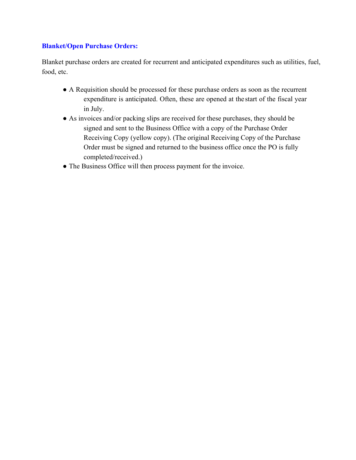#### **Blanket/Open Purchase Orders:**

Blanket purchase orders are created for recurrent and anticipated expenditures such as utilities, fuel, food, etc.

- **●** A Requisition should be processed for these purchase orders as soon as the recurrent expenditure is anticipated. Often, these are opened at the start of the fiscal year in July.
- **●** As invoices and/or packing slips are received for these purchases, they should be signed and sent to the Business Office with a copy of the Purchase Order Receiving Copy (yellow copy). (The original Receiving Copy of the Purchase Order must be signed and returned to the business office once the PO is fully completed/received.)
- The Business Office will then process payment for the invoice.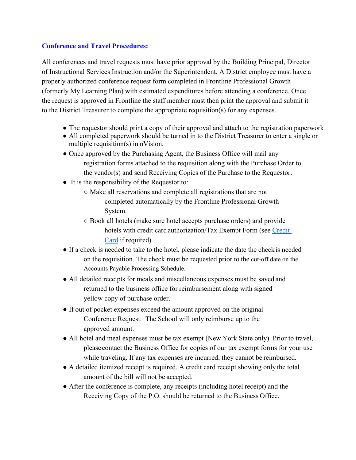#### **Conference and Travel Procedures:**

All conferences and travel requests must have prior approval by the Building Principal, Director of Instructional Services Instruction and/or the Superintendent. A District employee must have a properly authorized conference request form completed in Frontline Professional Growth (formerly My Learning Plan) with estimated expenditures before attending a conference. Once the request is approved in Frontline the staff member must then print the approval and submit it to the District Treasurer to complete the appropriate requisition(s) for any expenses.

- The requestor should print a copy of their approval and attach to the registration paperwork
- All completed paperwork should be turned in to the District Treasurer to enter a single or multiple requisition(s) in nVision.
- Once approved by the Purchasing Agent, the Business Office will mail any registration forms attached to the requisition along with the Purchase Order to the vendor(s) and send Receiving Copies of the Purchase to the Requestor.
- It is the responsibility of the Requestor to:
	- Make all reservations and complete all registrations that are not completed automatically by the Frontline Professional Growth System.
	- Book all hotels (make sure hotel accepts purchase orders) and provide hotels with credit card authorization/Tax Exempt Form (see Credit Card if required)
- If a check is needed to take to the hotel, please indicate the date the checkis needed on the requisition. The check must be requested prior to the cut-off date on the Accounts Payable Processing Schedule.
- All detailed receipts for meals and miscellaneous expenses must be saved and returned to the business office for reimbursement along with signed yellow copy of purchase order.
- If out of pocket expenses exceed the amount approved on the original Conference Request. The School will only reimburse up to the approved amount.
- All hotel and meal expenses must be tax exempt (New York State only). Prior to travel, please contact the Business Office for copies of our tax exempt forms for your use while traveling. If any tax expenses are incurred, they cannot be reimbursed.
- A detailed itemized receipt is required. A credit card receipt showing only the total amount of the bill will not be accepted.
- After the conference is complete, any receipts (including hotel receipt) and the Receiving Copy of the P.O. should be returned to the Business Office.